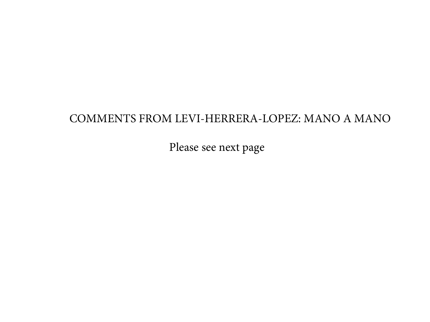#### COMMENTS FROM LEVI-HERRERA-LOPEZ: MANO A MANO

Please see next page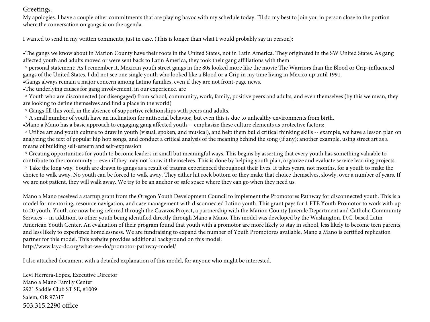#### Greetings,

My apologies. I have a couple other commitments that are playing havoc with my schedule today. I'll do my best to join you in person close to the portion where the conversation on gangs is on the agenda.

I wanted to send in my written comments, just in case. (This is longer than what I would probably say in person):

•The gangs we know about in Marion County have their roots in the United States, not in Latin America. They originated in the SW United States. As gang affected youth and adults moved or were sent back to Latin America, they took their gang affiliations with them

◦personal statement: As I remember it, Mexican youth street gangs in the 80s looked more like the movie The Warriors than the Blood or Crip-influenced gangs of the United States. I did not see one single youth who looked like a Blood or a Crip in my time living in Mexico up until 1991.

•Gangs always remain a major concern among Latino families, even if they are not front-page news.

•The underlying causes for gang involvement, in our experience, are

◦Youth who are disconnected (or disengaged) from school, community, work, family, positive peers and adults, and even themselves (by this we mean, they are looking to define themselves and find a place in the world)

◦Gangs fill this void, in the absence of supportive relationships with peers and adults.

◦A small number of youth have an inclination for antisocial behavior, but even this is due to unhealthy environments from birth.

•Mano a Mano has a basic approach to engaging gang affected youth -- emphasize these culture elements as protective factors:

◦Utilize art and youth culture to draw in youth (visual, spoken, and musical), and help them build critical thinking skills -- example, we have a lesson plan on analyzing the text of popular hip hop songs, and conduct a critical analysis of the meaning behind the song (if any); another example, using street art as a means of building self-esteem and self-expression

◦Creating opportunities for youth to become leaders in small but meaningful ways. This begins by asserting that every youth has something valuable to contribute to the community -- even if they may not know it themselves. This is done by helping youth plan, organize and evaluate service learning projects. ◦Take the long way. Youth are drawn to gangs as a result of trauma experienced throughout their lives. It takes years, not months, for a youth to make the choice to walk away. No youth can be forced to walk away. They either hit rock bottom or they make that choice themselves, slowly, over a number of years. If we are not patient, they will walk away. We try to be an anchor or safe space where they can go when they need us.

Mano a Mano received a startup grant from the Oregon Youth Development Council to implement the Promotores Pathway for disconnected youth. This is a model for mentoring, resource navigation, and case management with disconnected Latino youth. This grant pays for 1 FTE Youth Promotor to work with up to 20 youth. Youth are now being referred through the Cavazos Project, a partnership with the Marion County Juvenile Department and Catholic Community Services -- in addition, to other youth being identified directly through Mano a Mano. This model was developed by the Washington, D.C. based Latin American Youth Center. An evaluation of their program found that youth with a promotor are more likely to stay in school, less likely to become teen parents, and less likely to experience homelessness. We are fundraising to expand the number of Youth Promotores available. Mano a Mano is certified replication partner for this model. This website provides additional background on this model: http://www.layc-dc.org/what-we-do/promotor-pathway-model/

I also attached document with a detailed explanation of this model, for anyone who might be interested.

Levi Herrera-Lopez, Executive Director Mano a Mano Family Center 2921 Saddle Club ST SE, #1009 Salem, OR 97317 503.315.2290 office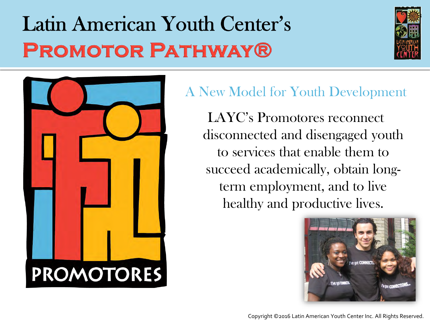# Latin American Youth Center's **PROMOTOR PATHWAY®**





### A New Model for Youth Development

LAYC's Promotores reconnect disconnected and disengaged youth to services that enable them to succeed academically, obtain longterm employment, and to live healthy and productive lives.



Copyright ©2016 Latin American Youth Center Inc. All Rights Reserved.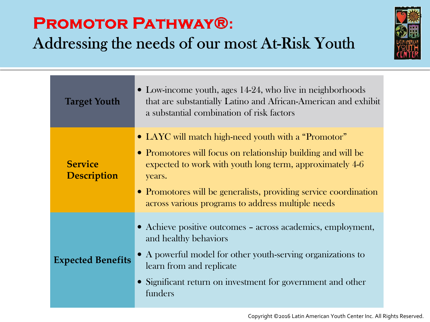### **PROMOTOR PATHWAY®:**

Addressing the needs of our most At-Risk Youth



| <b>Target Youth</b>                  | • Low-income youth, ages 14-24, who live in neighborhoods<br>that are substantially Latino and African-American and exhibit<br>a substantial combination of risk factors                                                                                                                                           |
|--------------------------------------|--------------------------------------------------------------------------------------------------------------------------------------------------------------------------------------------------------------------------------------------------------------------------------------------------------------------|
| <b>Service</b><br><b>Description</b> | • LAYC will match high-need youth with a "Promotor"<br>• Promotores will focus on relationship building and will be<br>expected to work with youth long term, approximately 4-6<br>years.<br>• Promotores will be generalists, providing service coordination<br>across various programs to address multiple needs |
| <b>Expected Benefits</b>             | • Achieve positive outcomes – across academics, employment,<br>and healthy behaviors<br>• A powerful model for other youth-serving organizations to<br>learn from and replicate<br>• Significant return on investment for government and other<br>funders                                                          |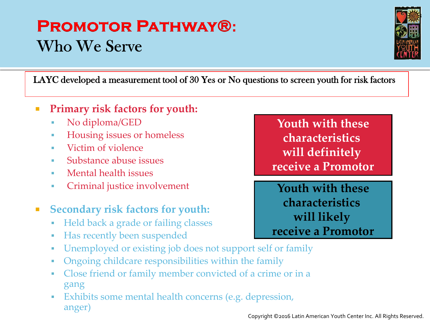### **PROMOTOR PATHWAY®: Who We Serve**



LAYC developed a measurement tool of 30 Yes or No questions to screen youth for risk factors

#### **Primary risk factors for youth:**

- No diploma/GED
- Housing issues or homeless
- Victim of violence
- Substance abuse issues
- **Mental health issues**
- **Criminal justice involvement**

#### **Secondary risk factors for youth:**

- Held back a grade or failing classes
- Has recently been suspended
- Unemployed or existing job does not support self or family
- Ongoing childcare responsibilities within the family
- Close friend or family member convicted of a crime or in a gang
- Exhibits some mental health concerns (e.g. depression, anger)

**Youth with these characteristics will definitely receive a Promotor**

**Youth with these characteristics will likely receive a Promotor**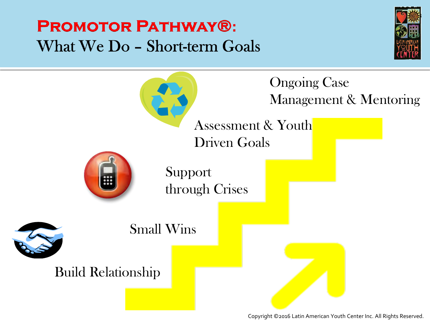### **PROMOTOR PATHWAY®:** What We Do - Short-term Goals





Copyright ©2016 Latin American Youth Center Inc. All Rights Reserved.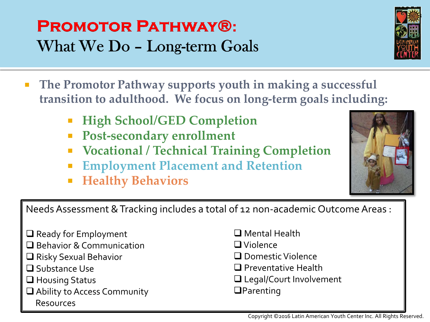### **PROMOTOR PATHWAY®:** What We Do - Long-term Goals

- **The Promotor Pathway supports youth in making a successful transition to adulthood. We focus on long-term goals including:**
	- **High School/GED Completion**
	- **Post-secondary enrollment**
	- **Vocational / Technical Training Completion**
	- **Employment Placement and Retention**
	- **Healthy Behaviors**

Needs Assessment & Tracking includes a total of 12 non-academic Outcome Areas :

- $\Box$  Ready for Employment
- **□** Behavior & Communication
- $\Box$  Risky Sexual Behavior
- **O** Substance Use
- **□** Housing Status
- **■** Ability to Access Community Resources
- Mental Health
- Violence
- Domestic Violence
- **Preventative Health**
- □ Legal/Court Involvement
- **QParenting**



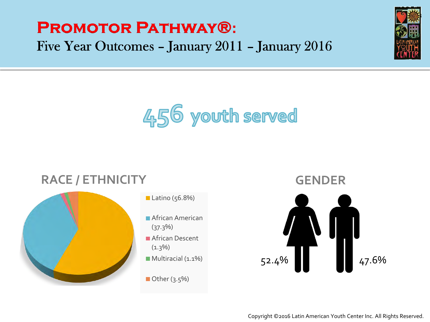### **PROMOTOR PATHWAY®:** Five Year Outcomes - January 2011 - January 2016





### **RACE / ETHNICITY**



#### Latino  $(56.8%)$

- **African American**
- **African Descent**
- Multiracial (1.1%)
- Other  $(3.5\%)$

52.4% 47.6% **GENDER**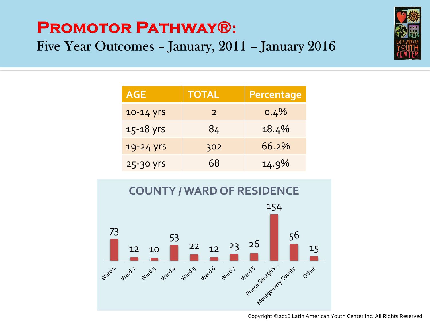## **PROMOTOR PATHWAY®:** Five Year Outcomes - January, 2011 - January 2016



| <b>AGE</b> | TOTAL         | Percentage |
|------------|---------------|------------|
| 10-14 yrs  | $\mathcal{P}$ | $0.4\%$    |
| 15-18 yrs  | 84            | 18.4%      |
| 19-24 yrs  | 302           | 66.2%      |
| 25-30 yrs  | 68            | 14.9%      |



#### Copyright ©2016 Latin American Youth Center Inc. All Rights Reserved.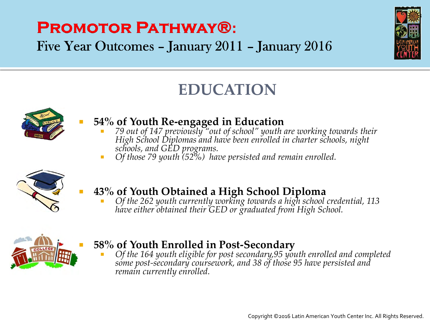## **PROMOTOR PATHWAY®:**

Five Year Outcomes - January 2011 - January 2016



### **EDUCATION**



#### **54% of Youth Re-engaged in Education**

- *79 out of 147 previously "out of school" youth are working towards their High School Diplomas and have been enrolled in charter schools, night schools, and GED programs.*
- *Of those 79 youth (52%) have persisted and remain enrolled.*



### **43% of Youth Obtained a High School Diploma**

 *Of the 262 youth currently working towards a high school credential, 113 have either obtained their GED or graduated from High School.* 



#### **58% of Youth Enrolled in Post-Secondary**

 *Of the 164 youth eligible for post secondary,95 youth enrolled and completed some post-secondary coursework, and 38 of those 95 have persisted and remain currently enrolled.*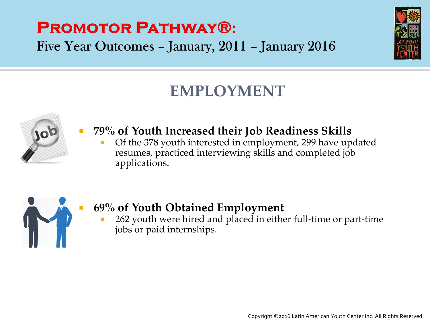### **PROMOTOR PATHWAY®:** Five Year Outcomes - January, 2011 - January 2016



### **EMPLOYMENT**



### **79% of Youth Increased their Job Readiness Skills**

 Of the 378 youth interested in employment, 299 have updated resumes, practiced interviewing skills and completed job applications.



### **69% of Youth Obtained Employment**

**262** youth were hired and placed in either full-time or part-time jobs or paid internships.